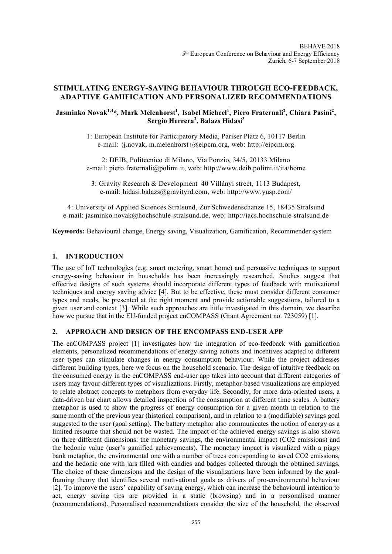# **STIMULATING ENERGY-SAVING BEHAVIOUR THROUGH ECO-FEEDBACK, ADAPTIVE GAMIFICATION AND PERSONALIZED RECOMMENDATIONS**

# $J$ asminko Novak $^{1,4*}$ , Mark Melenhorst<sup>1</sup>, Isabel Micheel<sup>1</sup>, Piero Fraternali<sup>2</sup>, Chiara Pasini<sup>2</sup>, **Sergio Herrera<sup>2</sup> , Balazs Hidasi<sup>3</sup>**

1: European Institute for Participatory Media, Pariser Platz 6, 10117 Berlin e-mail: {j.novak, m.melenhorst}@eipcm.org, web: http://eipcm.org

2: DEIB, Politecnico di Milano, Via Ponzio, 34/5, 20133 Milano e-mail: piero.fraternali@polimi.it, web: http://www.deib.polimi.it/ita/home

3: Gravity Research & Development, 40 Villányi street, 1113 Budapest, e-mail: hidasi.balazs@gravityrd.com, web: http://www.yusp.com/

4: University of Applied Sciences Stralsund, Zur Schwedenschanze 15, 18435 Stralsund e-mail: jasminko.novak@hochschule-stralsund.de, web: http://iacs.hochschule-stralsund.de

**Keywords:** Behavioural change, Energy saving, Visualization, Gamification, Recommender system

# **1. INTRODUCTION**

The use of IoT technologies (e.g. smart metering, smart home) and persuasive techniques to support energy-saving behaviour in households has been increasingly researched. Studies suggest that effective designs of such systems should incorporate different types of feedback with motivational techniques and energy saving advice [4]. But to be effective, these must consider different consumer types and needs, be presented at the right moment and provide actionable suggestions, tailored to a given user and context [3]. While such approaches are little investigated in this domain, we describe how we pursue that in the EU-funded project enCOMPASS (Grant Agreement no. 723059) [1].

# **2. APPROACH AND DESIGN OF THE ENCOMPASS END-USER APP**

The enCOMPASS project [1] investigates how the integration of eco-feedback with gamification elements, personalized recommendations of energy saving actions and incentives adapted to different user types can stimulate changes in energy consumption behaviour. While the project addresses different building types, here we focus on the household scenario. The design of intuitive feedback on the consumed energy in the enCOMPASS end-user app takes into account that different categories of users may favour different types of visualizations. Firstly, metaphor-based visualizations are employed to relate abstract concepts to metaphors from everyday life. Secondly, for more data-oriented users, a data-driven bar chart allows detailed inspection of the consumption at different time scales. A battery metaphor is used to show the progress of energy consumption for a given month in relation to the same month of the previous year (historical comparison), and in relation to a (modifiable) savings goal suggested to the user (goal setting). The battery metaphor also communicates the notion of energy as a limited resource that should not be wasted. The impact of the achieved energy savings is also shown on three different dimensions: the monetary savings, the environmental impact (CO2 emissions) and the hedonic value (user's gamified achievements). The monetary impact is visualized with a piggy bank metaphor, the environmental one with a number of trees corresponding to saved CO2 emissions, and the hedonic one with jars filled with candies and badges collected through the obtained savings. The choice of these dimensions and the design of the visualizations have been informed by the goalframing theory that identifies several motivational goals as drivers of pro-environmental behaviour [2]. To improve the users' capability of saving energy, which can increase the behavioural intention to act, energy saving tips are provided in a static (browsing) and in a personalised manner (recommendations). Personalised recommendations consider the size of the household, the observed